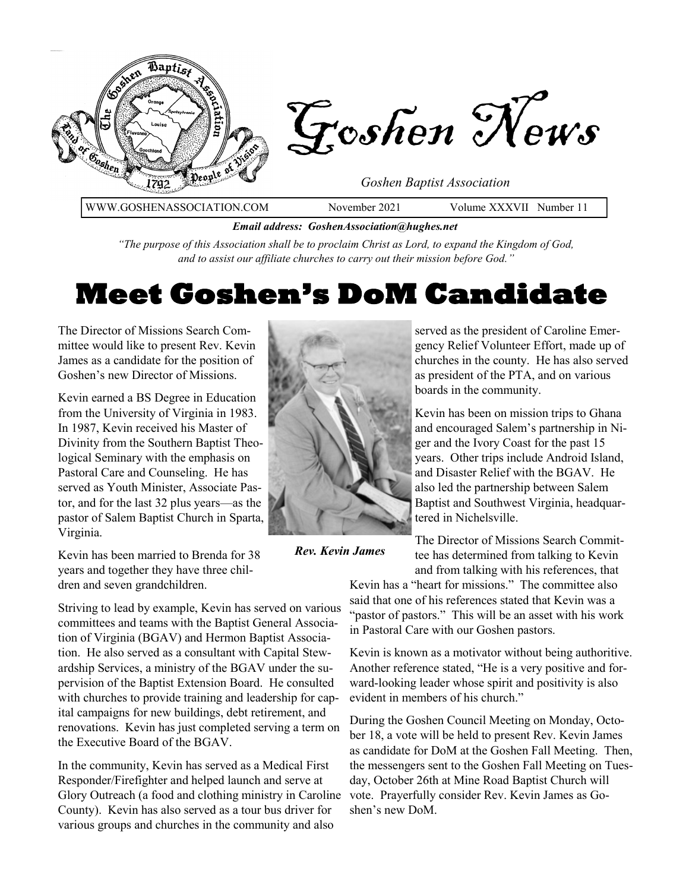

*Email address: GoshenAssociation@hughes.net*

*"The purpose of this Association shall be to proclaim Christ as Lord, to expand the Kingdom of God, and to assist our affiliate churches to carry out their mission before God."*

## **Meet Goshen's DoM Candidate**

The Director of Missions Search Committee would like to present Rev. Kevin James as a candidate for the position of Goshen's new Director of Missions.

Kevin earned a BS Degree in Education from the University of Virginia in 1983. In 1987, Kevin received his Master of Divinity from the Southern Baptist Theological Seminary with the emphasis on Pastoral Care and Counseling. He has served as Youth Minister, Associate Pastor, and for the last 32 plus years—as the pastor of Salem Baptist Church in Sparta, Virginia.

Kevin has been married to Brenda for 38 years and together they have three children and seven grandchildren.

Striving to lead by example, Kevin has served on various committees and teams with the Baptist General Association of Virginia (BGAV) and Hermon Baptist Association. He also served as a consultant with Capital Stewardship Services, a ministry of the BGAV under the supervision of the Baptist Extension Board. He consulted with churches to provide training and leadership for capital campaigns for new buildings, debt retirement, and renovations. Kevin has just completed serving a term on the Executive Board of the BGAV.

In the community, Kevin has served as a Medical First Responder/Firefighter and helped launch and serve at Glory Outreach (a food and clothing ministry in Caroline County). Kevin has also served as a tour bus driver for various groups and churches in the community and also



*Rev. Kevin James*

served as the president of Caroline Emergency Relief Volunteer Effort, made up of churches in the county. He has also served as president of the PTA, and on various boards in the community.

Kevin has been on mission trips to Ghana and encouraged Salem's partnership in Niger and the Ivory Coast for the past 15 years. Other trips include Android Island, and Disaster Relief with the BGAV. He also led the partnership between Salem Baptist and Southwest Virginia, headquartered in Nichelsville.

The Director of Missions Search Committee has determined from talking to Kevin and from talking with his references, that

Kevin has a "heart for missions." The committee also said that one of his references stated that Kevin was a "pastor of pastors." This will be an asset with his work in Pastoral Care with our Goshen pastors.

Kevin is known as a motivator without being authoritive. Another reference stated, "He is a very positive and forward-looking leader whose spirit and positivity is also evident in members of his church."

During the Goshen Council Meeting on Monday, October 18, a vote will be held to present Rev. Kevin James as candidate for DoM at the Goshen Fall Meeting. Then, the messengers sent to the Goshen Fall Meeting on Tuesday, October 26th at Mine Road Baptist Church will vote. Prayerfully consider Rev. Kevin James as Goshen's new DoM.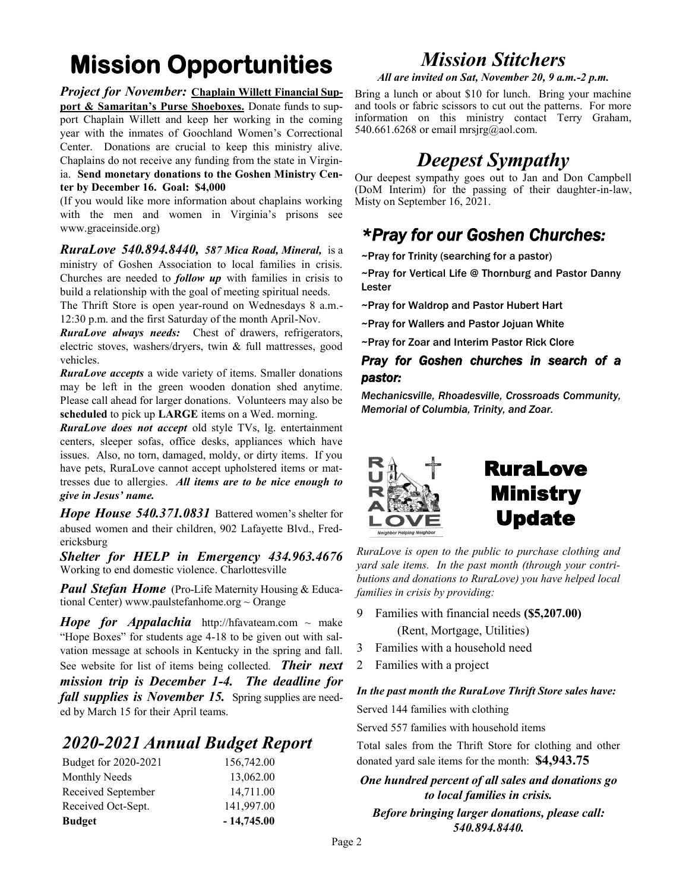# **Mission Opportunities**

*Project for November:* **Chaplain Willett Financial Support & Samaritan's Purse Shoeboxes.** Donate funds to support Chaplain Willett and keep her working in the coming year with the inmates of Goochland Women's Correctional Center. Donations are crucial to keep this ministry alive. Chaplains do not receive any funding from the state in Virginia. **Send monetary donations to the Goshen Ministry Center by December 16. Goal: \$4,000**

(If you would like more information about chaplains working with the men and women in Virginia's prisons see www.graceinside.org)

*RuraLove 540.894.8440, 587 Mica Road, Mineral,* is a ministry of Goshen Association to local families in crisis. Churches are needed to *follow up* with families in crisis to build a relationship with the goal of meeting spiritual needs.

The Thrift Store is open year-round on Wednesdays 8 a.m.- 12:30 p.m. and the first Saturday of the month April-Nov.

*RuraLove always needs:* Chest of drawers, refrigerators, electric stoves, washers/dryers, twin & full mattresses, good vehicles.

*RuraLove accepts* a wide variety of items. Smaller donations may be left in the green wooden donation shed anytime. Please call ahead for larger donations. Volunteers may also be **scheduled** to pick up **LARGE** items on a Wed. morning.

*RuraLove does not accept* old style TVs, lg. entertainment centers, sleeper sofas, office desks, appliances which have issues. Also, no torn, damaged, moldy, or dirty items. If you have pets, RuraLove cannot accept upholstered items or mattresses due to allergies. *All items are to be nice enough to give in Jesus' name.* 

*Hope House 540.371.0831* Battered women's shelter for abused women and their children, 902 Lafayette Blvd., Fredericksburg

*Shelter for HELP in Emergency 434.963.4676*  Working to end domestic violence. Charlottesville

*Paul Stefan Home* (Pro-Life Maternity Housing & Educational Center) www.paulstefanhome.org  $\sim$  Orange

*Hope for Appalachia* http://hfavateam.com ~ make "Hope Boxes" for students age 4-18 to be given out with salvation message at schools in Kentucky in the spring and fall. See website for list of items being collected*. Their next mission trip is December 1-4. The deadline for fall supplies is November 15.* Spring supplies are needed by March 15 for their April teams.

#### *2020-2021 Annual Budget Report*

| Budget for 2020-2021 | 156,742.00   |
|----------------------|--------------|
| <b>Monthly Needs</b> | 13,062.00    |
| Received September   | 14,711.00    |
| Received Oct-Sept.   | 141,997.00   |
| <b>Budget</b>        | $-14,745.00$ |

### *Mission Stitchers*

*All are invited on Sat, November 20, 9 a.m.-2 p.m.* 

Bring a lunch or about \$10 for lunch. Bring your machine and tools or fabric scissors to cut out the patterns. For more information on this ministry contact Terry Graham, 540.661.6268 or email mrsjrg@aol.com.

## *Deepest Sympathy*

Our deepest sympathy goes out to Jan and Don Campbell (DoM Interim) for the passing of their daughter-in-law, Misty on September 16, 2021.

#### *\*Pray for our Goshen Churches:*

~Pray for Trinity (searching for a pastor)

~Pray for Vertical Life @ Thornburg and Pastor Danny Lester

- ~Pray for Waldrop and Pastor Hubert Hart
- ~Pray for Wallers and Pastor Jojuan White
- ~Pray for Zoar and Interim Pastor Rick Clore

#### *Pray for Goshen churches in search of a pastor:*

*Mechanicsville, Rhoadesville, Crossroads Community, Memorial of Columbia, Trinity, and Zoar.*



*RuraLove is open to the public to purchase clothing and yard sale items. In the past month (through your contributions and donations to RuraLove) you have helped local families in crisis by providing:*

- 9 Families with financial needs **(\$5,207.00)** (Rent, Mortgage, Utilities)
- 3 Families with a household need
- 2 Families with a project

*In the past month the RuraLove Thrift Store sales have:* Served 144 families with clothing

Served 557 families with household items

Total sales from the Thrift Store for clothing and other donated yard sale items for the month: **\$4,943.75**

*One hundred percent of all sales and donations go to local families in crisis. Before bringing larger donations, please call: 540.894.8440.*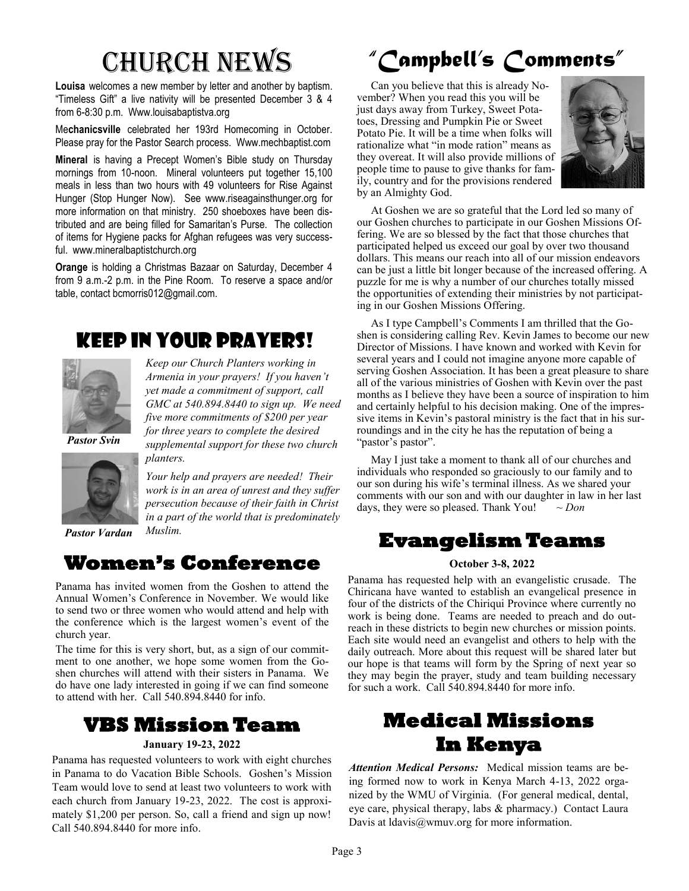**Louisa** welcomes a new member by letter and another by baptism. "Timeless Gift" a live nativity will be presented December 3 & 4 from 6-8:30 p.m. Www.louisabaptistva.org

Me**chanicsville** celebrated her 193rd Homecoming in October. Please pray for the Pastor Search process. Www.mechbaptist.com

**Mineral** is having a Precept Women's Bible study on Thursday mornings from 10-noon. Mineral volunteers put together 15,100 meals in less than two hours with 49 volunteers for Rise Against Hunger (Stop Hunger Now). See www.riseagainsthunger.org for more information on that ministry. 250 shoeboxes have been distributed and are being filled for Samaritan's Purse. The collection of items for Hygiene packs for Afghan refugees was very successful. www.mineralbaptistchurch.org

**Orange** is holding a Christmas Bazaar on Saturday, December 4 from 9 a.m.-2 p.m. in the Pine Room. To reserve a space and/or table, contact bcmorris012@gmail.com.

## Keep in Your Prayers!



*yet made a commitment of support, call GMC at 540.894.8440 to sign up. We need five more commitments of \$200 per year for three years to complete the desired supplemental support for these two church planters.* 

*Keep our Church Planters working in Armenia in your prayers! If you haven't* 

*Your help and prayers are needed! Their work is in an area of unrest and they suffer persecution because of their faith in Christ in a part of the world that is predominately* 

*Pastor Vardan* 

#### **Women's Conference**

*Muslim.*

Panama has invited women from the Goshen to attend the Annual Women's Conference in November. We would like to send two or three women who would attend and help with the conference which is the largest women's event of the church year.

The time for this is very short, but, as a sign of our commitment to one another, we hope some women from the Goshen churches will attend with their sisters in Panama. We do have one lady interested in going if we can find someone to attend with her. Call 540.894.8440 for info.

#### **VBS Mission Team**

#### **January 19-23, 2022**

Panama has requested volunteers to work with eight churches in Panama to do Vacation Bible Schools. Goshen's Mission Team would love to send at least two volunteers to work with each church from January 19-23, 2022. The cost is approximately \$1,200 per person. So, call a friend and sign up now! Call 540.894.8440 for more info.

# Church News *"Campbell's Comments"*

 Can you believe that this is already November? When you read this you will be just days away from Turkey, Sweet Potatoes, Dressing and Pumpkin Pie or Sweet Potato Pie. It will be a time when folks will rationalize what "in mode ration" means as they overeat. It will also provide millions of people time to pause to give thanks for family, country and for the provisions rendered by an Almighty God.



 At Goshen we are so grateful that the Lord led so many of our Goshen churches to participate in our Goshen Missions Offering. We are so blessed by the fact that those churches that participated helped us exceed our goal by over two thousand dollars. This means our reach into all of our mission endeavors can be just a little bit longer because of the increased offering. A puzzle for me is why a number of our churches totally missed the opportunities of extending their ministries by not participating in our Goshen Missions Offering.

 As I type Campbell's Comments I am thrilled that the Goshen is considering calling Rev. Kevin James to become our new Director of Missions. I have known and worked with Kevin for several years and I could not imagine anyone more capable of serving Goshen Association. It has been a great pleasure to share all of the various ministries of Goshen with Kevin over the past months as I believe they have been a source of inspiration to him and certainly helpful to his decision making. One of the impressive items in Kevin's pastoral ministry is the fact that in his surroundings and in the city he has the reputation of being a "pastor's pastor".

 May I just take a moment to thank all of our churches and individuals who responded so graciously to our family and to our son during his wife's terminal illness. As we shared your comments with our son and with our daughter in law in her last days, they were so pleased. Thank You! *~ Don*

#### **Evangelism Teams**

#### **October 3-8, 2022**

Panama has requested help with an evangelistic crusade. The Chiricana have wanted to establish an evangelical presence in four of the districts of the Chiriqui Province where currently no work is being done. Teams are needed to preach and do outreach in these districts to begin new churches or mission points. Each site would need an evangelist and others to help with the daily outreach. More about this request will be shared later but our hope is that teams will form by the Spring of next year so they may begin the prayer, study and team building necessary for such a work. Call 540.894.8440 for more info.

## **Medical Missions In Kenya**

*Attention Medical Persons:* Medical mission teams are being formed now to work in Kenya March 4-13, 2022 organized by the WMU of Virginia. (For general medical, dental, eye care, physical therapy, labs & pharmacy.) Contact Laura Davis at ldavis@wmuv.org for more information.